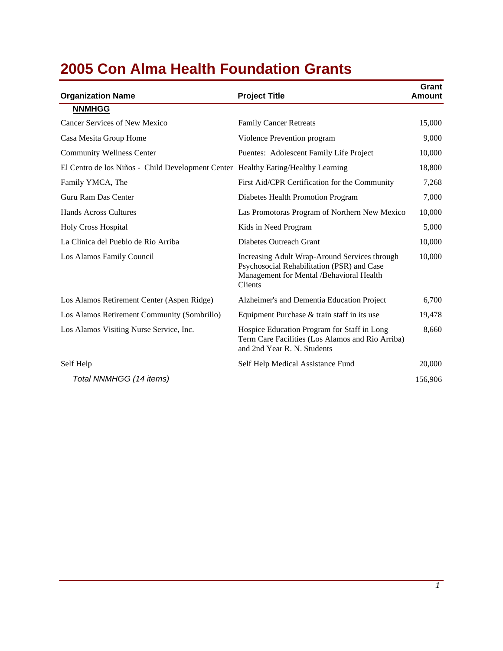| <b>Organization Name</b>                                                          | <b>Project Title</b>                                                                                                                               | Grant<br>Amount |
|-----------------------------------------------------------------------------------|----------------------------------------------------------------------------------------------------------------------------------------------------|-----------------|
| <b>NNMHGG</b>                                                                     |                                                                                                                                                    |                 |
| <b>Cancer Services of New Mexico</b>                                              | <b>Family Cancer Retreats</b>                                                                                                                      | 15,000          |
| Casa Mesita Group Home                                                            | Violence Prevention program                                                                                                                        | 9,000           |
| <b>Community Wellness Center</b>                                                  | Puentes: Adolescent Family Life Project                                                                                                            | 10,000          |
| El Centro de los Niños - Child Development Center Healthy Eating/Healthy Learning |                                                                                                                                                    | 18,800          |
| Family YMCA, The                                                                  | First Aid/CPR Certification for the Community                                                                                                      | 7,268           |
| Guru Ram Das Center                                                               | Diabetes Health Promotion Program                                                                                                                  | 7,000           |
| <b>Hands Across Cultures</b>                                                      | Las Promotoras Program of Northern New Mexico                                                                                                      | 10,000          |
| <b>Holy Cross Hospital</b>                                                        | Kids in Need Program                                                                                                                               | 5,000           |
| La Clinica del Pueblo de Rio Arriba                                               | Diabetes Outreach Grant                                                                                                                            | 10,000          |
| Los Alamos Family Council                                                         | Increasing Adult Wrap-Around Services through<br>Psychosocial Rehabilitation (PSR) and Case<br>Management for Mental /Behavioral Health<br>Clients | 10,000          |
| Los Alamos Retirement Center (Aspen Ridge)                                        | Alzheimer's and Dementia Education Project                                                                                                         | 6,700           |
| Los Alamos Retirement Community (Sombrillo)                                       | Equipment Purchase & train staff in its use                                                                                                        | 19,478          |
| Los Alamos Visiting Nurse Service, Inc.                                           | Hospice Education Program for Staff in Long<br>Term Care Facilities (Los Alamos and Rio Arriba)<br>and 2nd Year R. N. Students                     | 8,660           |
| Self Help                                                                         | Self Help Medical Assistance Fund                                                                                                                  | 20,000          |
| Total NNMHGG (14 items)                                                           |                                                                                                                                                    | 156,906         |

## **2005 Con Alma Health Foundation Grants**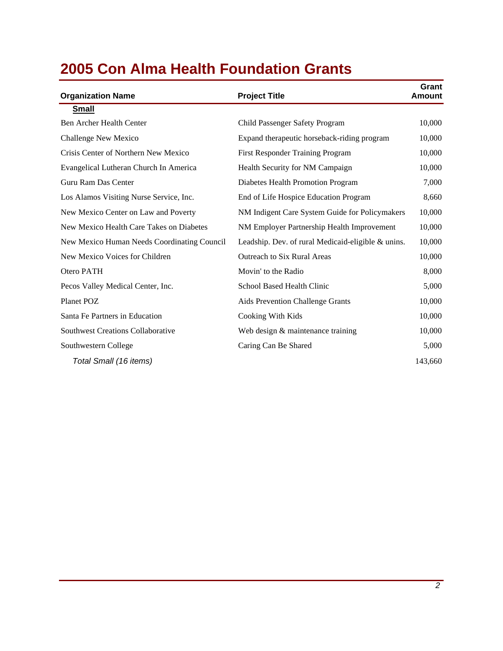| <b>Organization Name</b>                    | <b>Project Title</b>                               | Grant<br>Amount |
|---------------------------------------------|----------------------------------------------------|-----------------|
| <b>Small</b>                                |                                                    |                 |
| Ben Archer Health Center                    | Child Passenger Safety Program                     | 10,000          |
| <b>Challenge New Mexico</b>                 | Expand therapeutic horseback-riding program        | 10,000          |
| Crisis Center of Northern New Mexico        | <b>First Responder Training Program</b>            | 10,000          |
| Evangelical Lutheran Church In America      | Health Security for NM Campaign                    | 10,000          |
| Guru Ram Das Center                         | Diabetes Health Promotion Program                  | 7,000           |
| Los Alamos Visiting Nurse Service, Inc.     | End of Life Hospice Education Program              | 8,660           |
| New Mexico Center on Law and Poverty        | NM Indigent Care System Guide for Policymakers     | 10,000          |
| New Mexico Health Care Takes on Diabetes    | NM Employer Partnership Health Improvement         | 10,000          |
| New Mexico Human Needs Coordinating Council | Leadship. Dev. of rural Medicaid-eligible & unins. | 10,000          |
| New Mexico Voices for Children              | Outreach to Six Rural Areas                        | 10,000          |
| Otero PATH                                  | Movin' to the Radio                                | 8,000           |
| Pecos Valley Medical Center, Inc.           | School Based Health Clinic                         | 5,000           |
| Planet POZ                                  | Aids Prevention Challenge Grants                   | 10,000          |
| Santa Fe Partners in Education              | Cooking With Kids                                  | 10,000          |
| Southwest Creations Collaborative           | Web design & maintenance training                  | 10,000          |
| Southwestern College                        | Caring Can Be Shared                               | 5,000           |
| Total Small (16 items)                      |                                                    | 143,660         |

## **2005 Con Alma Health Foundation Grants**